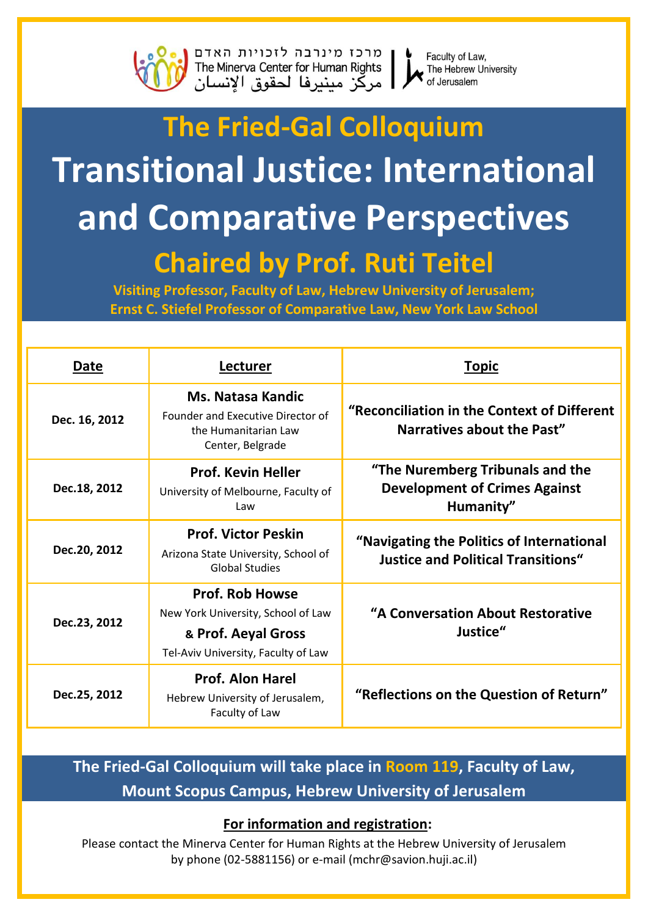

מרכז מינרבה לזכויות האדם<br>The Minerva Center for Human Rights<br>| مركز مينيرفا لحقوق الإنسان



Faculty of Law, The Hebrew University of Jerusalem

## **The Fried-Gal Colloquium Transitional Justice: International** and Comparative Perspectives **Chaired by Prof. Ruti Teitel**

Visiting Professor, Faculty of Law, Hebrew University of Jerusalem; **Ernst C. Stiefel Professor of Comparative Law, New York Law School** 

| Date          | Lecturer                                                                                                                   | <b>Topic</b>                                                                           |
|---------------|----------------------------------------------------------------------------------------------------------------------------|----------------------------------------------------------------------------------------|
| Dec. 16, 2012 | <b>Ms. Natasa Kandic</b><br>Founder and Executive Director of<br>the Humanitarian Law<br>Center, Belgrade                  | "Reconciliation in the Context of Different<br>Narratives about the Past"              |
| Dec.18, 2012  | <b>Prof. Kevin Heller</b><br>University of Melbourne, Faculty of<br>Law                                                    | "The Nuremberg Tribunals and the<br><b>Development of Crimes Against</b><br>Humanity"  |
| Dec.20, 2012  | <b>Prof. Victor Peskin</b><br>Arizona State University, School of<br><b>Global Studies</b>                                 | "Navigating the Politics of International<br><b>Justice and Political Transitions"</b> |
| Dec.23, 2012  | <b>Prof. Rob Howse</b><br>New York University, School of Law<br>& Prof. Aeyal Gross<br>Tel-Aviv University, Faculty of Law | "A Conversation About Restorative<br>Justice"                                          |
| Dec.25, 2012  | <b>Prof. Alon Harel</b><br>Hebrew University of Jerusalem,<br>Faculty of Law                                               | "Reflections on the Question of Return"                                                |

### The Fried-Gal Colloguium will take place in Room 119, Faculty of Law, **Mount Scopus Campus, Hebrew University of Jerusalem**

### For information and registration:

Please contact the Minerva Center for Human Rights at the Hebrew University of Jerusalem by phone (02-5881156) or e-mail (mchr@savion.huji.ac.il)